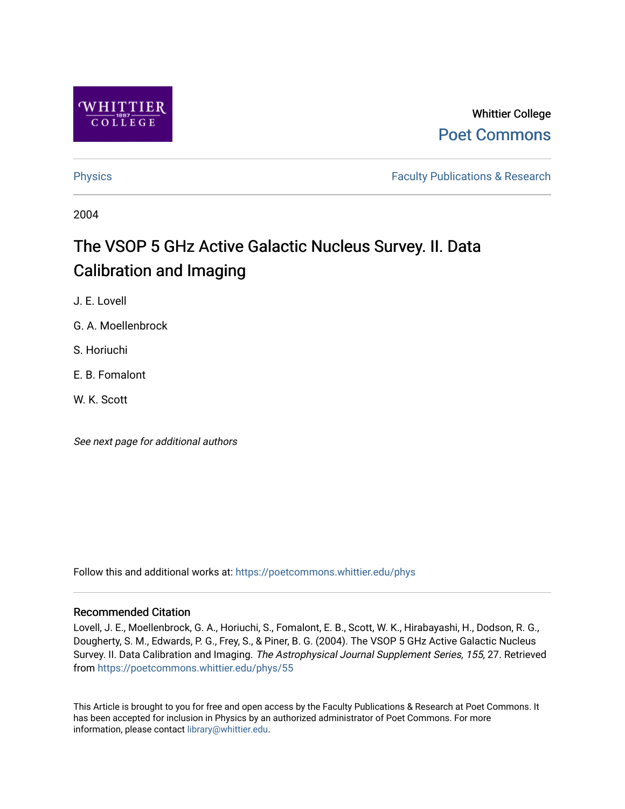

# Whittier College [Poet Commons](https://poetcommons.whittier.edu/)

[Physics](https://poetcommons.whittier.edu/phys) **Faculty Publications & Research Physics Faculty Publications & Research** 

2004

# The VSOP 5 GHz Active Galactic Nucleus Survey. II. Data Calibration and Imaging

J. E. Lovell

G. A. Moellenbrock

S. Horiuchi

E. B. Fomalont

W. K. Scott

See next page for additional authors

Follow this and additional works at: [https://poetcommons.whittier.edu/phys](https://poetcommons.whittier.edu/phys?utm_source=poetcommons.whittier.edu%2Fphys%2F55&utm_medium=PDF&utm_campaign=PDFCoverPages)

## Recommended Citation

Lovell, J. E., Moellenbrock, G. A., Horiuchi, S., Fomalont, E. B., Scott, W. K., Hirabayashi, H., Dodson, R. G., Dougherty, S. M., Edwards, P. G., Frey, S., & Piner, B. G. (2004). The VSOP 5 GHz Active Galactic Nucleus Survey. II. Data Calibration and Imaging. The Astrophysical Journal Supplement Series, 155, 27. Retrieved from [https://poetcommons.whittier.edu/phys/55](https://poetcommons.whittier.edu/phys/55?utm_source=poetcommons.whittier.edu%2Fphys%2F55&utm_medium=PDF&utm_campaign=PDFCoverPages)

This Article is brought to you for free and open access by the Faculty Publications & Research at Poet Commons. It has been accepted for inclusion in Physics by an authorized administrator of Poet Commons. For more information, please contact [library@whittier.edu.](mailto:library@whittier.edu)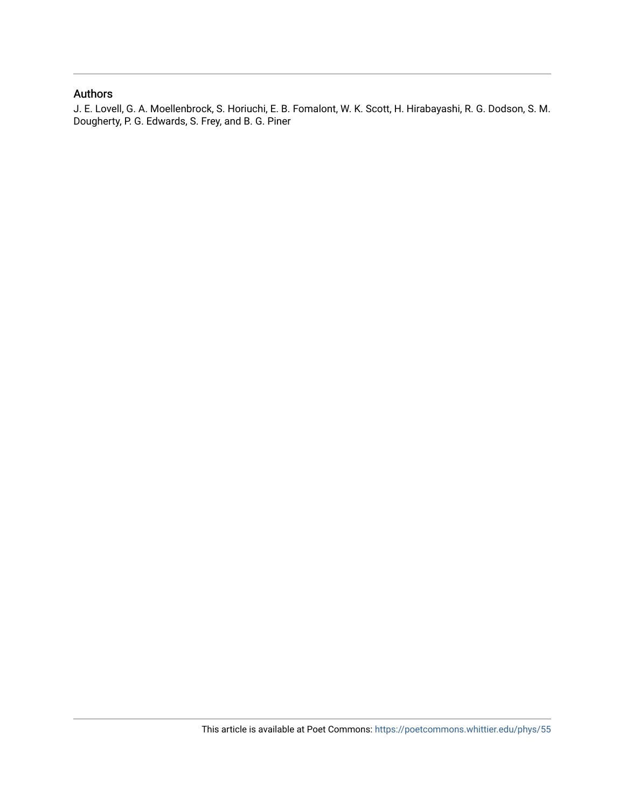# Authors

J. E. Lovell, G. A. Moellenbrock, S. Horiuchi, E. B. Fomalont, W. K. Scott, H. Hirabayashi, R. G. Dodson, S. M. Dougherty, P. G. Edwards, S. Frey, and B. G. Piner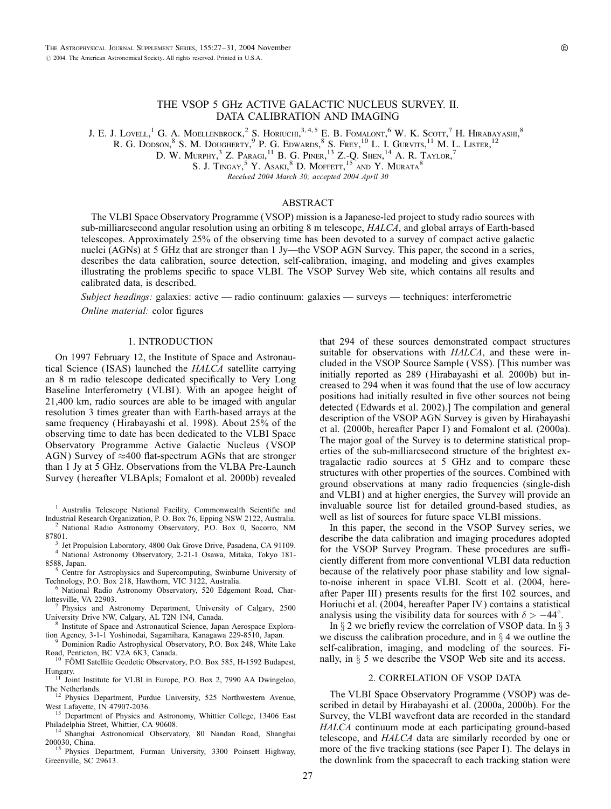### THE VSOP 5 GHz ACTIVE GALACTIC NUCLEUS SURVEY. II. DATA CALIBRATION AND IMAGING

J. E. J. Lovell, <sup>1</sup> G. A. Moellenbrock, <sup>2</sup> S. Horiuchi, <sup>3, 4, 5</sup> E. B. Fomalont, <sup>6</sup> W. K. Scott, <sup>7</sup> H. Hirabayashi, <sup>8</sup>

R. G. DODSON,  $8$  S. M. DOUGHERTY,  $9$  P. G. Edwards,  $8$  S. Frey,  $^{10}$  L. I. Gurvits,  $^{11}$  M. L. Lister,  $^{12}$ 

D. W. Murphy,  $3$  Z. Paragi,  $^{11}$  B. G. Piner,  $^{13}$  Z.-O. Shen,  $^{14}$  A. R. Taylor,  $^{7}$ 

S. J. Tingay,<sup>5</sup> Y. Asaki,<sup>8</sup> D. Moffett,<sup>15</sup> and Y. Murata<sup>8</sup>

Received 2004 March 30; accepted 2004 April 30

#### ABSTRACT

The VLBI Space Observatory Programme (VSOP) mission is a Japanese-led project to study radio sources with sub-milliarcsecond angular resolution using an orbiting 8 m telescope, HALCA, and global arrays of Earth-based telescopes. Approximately 25% of the observing time has been devoted to a survey of compact active galactic nuclei (AGNs) at 5 GHz that are stronger than 1 Jy—the VSOP AGN Survey. This paper, the second in a series, describes the data calibration, source detection, self-calibration, imaging, and modeling and gives examples illustrating the problems specific to space VLBI. The VSOP Survey Web site, which contains all results and calibrated data, is described.

Subject headings: galaxies: active — radio continuum: galaxies — surveys — techniques: interferometric

Online material: color figures

#### 1. INTRODUCTION

On 1997 February 12, the Institute of Space and Astronautical Science ( ISAS) launched the HALCA satellite carrying an 8 m radio telescope dedicated specifically to Very Long Baseline Interferometry (VLBI). With an apogee height of 21,400 km, radio sources are able to be imaged with angular resolution 3 times greater than with Earth-based arrays at the same frequency (Hirabayashi et al. 1998). About 25% of the observing time to date has been dedicated to the VLBI Space Observatory Programme Active Galactic Nucleus (VSOP AGN) Survey of  $\approx$ 400 flat-spectrum AGNs that are stronger than 1 Jy at 5 GHz. Observations from the VLBA Pre-Launch Survey ( hereafter VLBApls; Fomalont et al. 2000b) revealed

<sup>1</sup> Australia Telescope National Facility, Commonwealth Scientific and Industrial Research Organization, P. O. Box 76, Epping NSW 2122, Australia.

<sup>2</sup> National Radio Astronomy Observatory, P.O. Box 0, Socorro, NM 87801.

- <sup>3</sup> Jet Propulsion Laboratory, 4800 Oak Grove Drive, Pasadena, CA 91109.<br><sup>4</sup> National Astronomy Observatory, 2-21-1 Osawa, Mitaka, Tokyo 181-8588, Japan.
- Centre for Astrophysics and Supercomputing, Swinburne University of
- Technology, P.O. Box 218, Hawthorn, VIC 3122, Australia.<br><sup>6</sup> National Radio Astronomy Observatory, 520 Edgemont Road, Char-<br>lottesville, VA 22903.
- <sup>7</sup> Physics and Astronomy Department, University of Calgary, 2500 University Drive NW, Calgary, AL T2N 1N4, Canada.
- Institute of Space and Astronautical Science, Japan Aerospace Explora-
- tion Agency, 3-1-1 Yoshinodai, Sagamihara, Kanagawa 229-8510, Japan.<br><sup>9</sup> Dominion Radio Astrophysical Observatory, P.O. Box 248, White Lake Road, Penticton, BC V2A 6K3, Canada.

<sup>10</sup> FOMI Satellite Geodetic Observatory, P.O. Box 585, H-1592 Budapest,

Hungary. <sup>11</sup> Joint Institute for VLBI in Europe, P.O. Box 2, 7990 AA Dwingeloo,

- The Netherlands.<br>
<sup>12</sup> Physics Department, Purdue University, 525 Northwestern Avenue,<br>
West Lafayette, IN 47907-2036.<br>
<sup>13</sup> Department of Physics and August 1.
- <sup>13</sup> Department of Physics and Astronomy, Whittier College, 13406 East Philadelphia Street, Whittier, CA 90608.

<sup>14</sup> Shanghai Astronomical Observatory, 80 Nandan Road, Shanghai 200030 China.

Physics Department, Furman University, 3300 Poinsett Highway, Greenville, SC 29613.

that 294 of these sources demonstrated compact structures suitable for observations with  $HALCA$ , and these were included in the VSOP Source Sample (VSS). [This number was initially reported as 289 (Hirabayashi et al. 2000b) but increased to 294 when it was found that the use of low accuracy positions had initially resulted in five other sources not being detected (Edwards et al. 2002).] The compilation and general description of the VSOP AGN Survey is given by Hirabayashi et al. (2000b, hereafter Paper I) and Fomalont et al. (2000a). The major goal of the Survey is to determine statistical properties of the sub-milliarcsecond structure of the brightest extragalactic radio sources at 5 GHz and to compare these structures with other properties of the sources. Combined with ground observations at many radio frequencies (single-dish and VLBI) and at higher energies, the Survey will provide an invaluable source list for detailed ground-based studies, as well as list of sources for future space VLBI missions.

In this paper, the second in the VSOP Survey series, we describe the data calibration and imaging procedures adopted for the VSOP Survey Program. These procedures are sufficiently different from more conventional VLBI data reduction because of the relatively poor phase stability and low signalto-noise inherent in space VLBI. Scott et al. (2004, hereafter Paper III) presents results for the first 102 sources, and Horiuchi et al. (2004, hereafter Paper IV ) contains a statistical analysis using the visibility data for sources with  $\delta > -44^{\circ}$ .

In  $\S 2$  we briefly review the correlation of VSOP data. In  $\S 3$ we discuss the calibration procedure, and in  $\S$  4 we outline the self-calibration, imaging, and modeling of the sources. Finally, in  $\S$  5 we describe the VSOP Web site and its access.

#### 2. CORRELATION OF VSOP DATA

The VLBI Space Observatory Programme (VSOP) was described in detail by Hirabayashi et al. (2000a, 2000b). For the Survey, the VLBI wavefront data are recorded in the standard HALCA continuum mode at each participating ground-based telescope, and HALCA data are similarly recorded by one or more of the five tracking stations (see Paper I). The delays in the downlink from the spacecraft to each tracking station were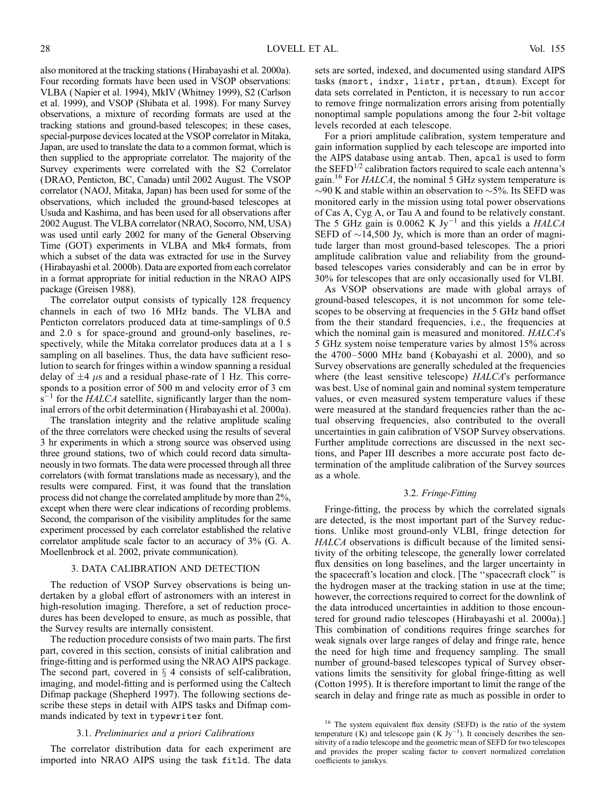also monitored at the tracking stations (Hirabayashi et al. 2000a). Four recording formats have been used in VSOP observations: VLBA ( Napier et al. 1994), MkIV (Whitney 1999), S2 (Carlson et al. 1999), and VSOP (Shibata et al. 1998). For many Survey observations, a mixture of recording formats are used at the tracking stations and ground-based telescopes; in these cases, special-purpose devices located at the VSOP correlator in Mitaka, Japan, are used to translate the data to a common format, which is then supplied to the appropriate correlator. The majority of the Survey experiments were correlated with the S2 Correlator (DRAO, Penticton, BC, Canada) until 2002 August. The VSOP correlator (NAOJ, Mitaka, Japan) has been used for some of the observations, which included the ground-based telescopes at Usuda and Kashima, and has been used for all observations after 2002 August. The VLBA correlator (NRAO, Socorro, NM, USA) was used until early 2002 for many of the General Observing Time (GOT) experiments in VLBA and Mk4 formats, from which a subset of the data was extracted for use in the Survey (Hirabayashi et al. 2000b). Data are exported from each correlator in a format appropriate for initial reduction in the NRAO AIPS package (Greisen 1988).

The correlator output consists of typically 128 frequency channels in each of two 16 MHz bands. The VLBA and Penticton correlators produced data at time-samplings of 0.5 and 2.0 s for space-ground and ground-only baselines, respectively, while the Mitaka correlator produces data at a 1 s sampling on all baselines. Thus, the data have sufficient resolution to search for fringes within a window spanning a residual delay of  $\pm 4$   $\mu$ s and a residual phase-rate of 1 Hz. This corresponds to a position error of 500 m and velocity error of 3 cm  $s^{-1}$  for the  $HALCA$  satellite, significantly larger than the nominal errors of the orbit determination (Hirabayashi et al. 2000a).

The translation integrity and the relative amplitude scaling of the three correlators were checked using the results of several 3 hr experiments in which a strong source was observed using three ground stations, two of which could record data simultaneously in two formats. The data were processed through all three correlators (with format translations made as necessary), and the results were compared. First, it was found that the translation process did not change the correlated amplitude by more than 2%, except when there were clear indications of recording problems. Second, the comparison of the visibility amplitudes for the same experiment processed by each correlator established the relative correlator amplitude scale factor to an accuracy of 3% (G. A. Moellenbrock et al. 2002, private communication).

#### 3. DATA CALIBRATION AND DETECTION

The reduction of VSOP Survey observations is being undertaken by a global effort of astronomers with an interest in high-resolution imaging. Therefore, a set of reduction procedures has been developed to ensure, as much as possible, that the Survey results are internally consistent.

The reduction procedure consists of two main parts. The first part, covered in this section, consists of initial calibration and fringe-fitting and is performed using the NRAO AIPS package. The second part, covered in  $\S$  4 consists of self-calibration, imaging, and model-fitting and is performed using the Caltech Difmap package (Shepherd 1997). The following sections describe these steps in detail with AIPS tasks and Difmap commands indicated by text in typewriter font.

#### 3.1. Preliminaries and a priori Calibrations

The correlator distribution data for each experiment are imported into NRAO AIPS using the task fitld. The data sets are sorted, indexed, and documented using standard AIPS tasks (msort, indxr, listr, prtan, dtsum). Except for data sets correlated in Penticton, it is necessary to run accor to remove fringe normalization errors arising from potentially nonoptimal sample populations among the four 2-bit voltage levels recorded at each telescope.

For a priori amplitude calibration, system temperature and gain information supplied by each telescope are imported into the AIPS database using antab. Then, apcal is used to form the SEFD $^{1/2}$  calibration factors required to scale each antenna's gain.<sup>16</sup> For  $HALCA$ , the nominal 5 GHz system temperature is  $\sim$ 90 K and stable within an observation to  $\sim$ 5%. Its SEFD was monitored early in the mission using total power observations of Cas A, Cyg A, or Tau A and found to be relatively constant. The 5 GHz gain is 0.0062 K Jy<sup>-1</sup> and this yields a  $HALCA$ SEFD of  $\sim$ 14,500 Jy, which is more than an order of magnitude larger than most ground-based telescopes. The a priori amplitude calibration value and reliability from the groundbased telescopes varies considerably and can be in error by 30% for telescopes that are only occasionally used for VLBI.

As VSOP observations are made with global arrays of ground-based telescopes, it is not uncommon for some telescopes to be observing at frequencies in the 5 GHz band offset from the their standard frequencies, i.e., the frequencies at which the nominal gain is measured and monitored. *HALCA*'s 5 GHz system noise temperature varies by almost 15% across the 4700–5000 MHz band (Kobayashi et al. 2000), and so Survey observations are generally scheduled at the frequencies where (the least sensitive telescope) HALCA's performance was best. Use of nominal gain and nominal system temperature values, or even measured system temperature values if these were measured at the standard frequencies rather than the actual observing frequencies, also contributed to the overall uncertainties in gain calibration of VSOP Survey observations. Further amplitude corrections are discussed in the next sections, and Paper III describes a more accurate post facto determination of the amplitude calibration of the Survey sources as a whole.

#### 3.2. Fringe-Fitting

Fringe-fitting, the process by which the correlated signals are detected, is the most important part of the Survey reductions. Unlike most ground-only VLBI, fringe detection for HALCA observations is difficult because of the limited sensitivity of the orbiting telescope, the generally lower correlated flux densities on long baselines, and the larger uncertainty in the spacecraft's location and clock. [The ''spacecraft clock'' is the hydrogen maser at the tracking station in use at the time; however, the corrections required to correct for the downlink of the data introduced uncertainties in addition to those encountered for ground radio telescopes (Hirabayashi et al. 2000a).] This combination of conditions requires fringe searches for weak signals over large ranges of delay and fringe rate, hence the need for high time and frequency sampling. The small number of ground-based telescopes typical of Survey observations limits the sensitivity for global fringe-fitting as well (Cotton 1995). It is therefore important to limit the range of the search in delay and fringe rate as much as possible in order to

<sup>&</sup>lt;sup>16</sup> The system equivalent flux density (SEFD) is the ratio of the system temperature (K) and telescope gain  $(K Jy^{-1})$ . It concisely describes the sensitivity of a radio telescope and the geometric mean of SEFD for two telescopes and provides the proper scaling factor to convert normalized correlation coefficients to janskys.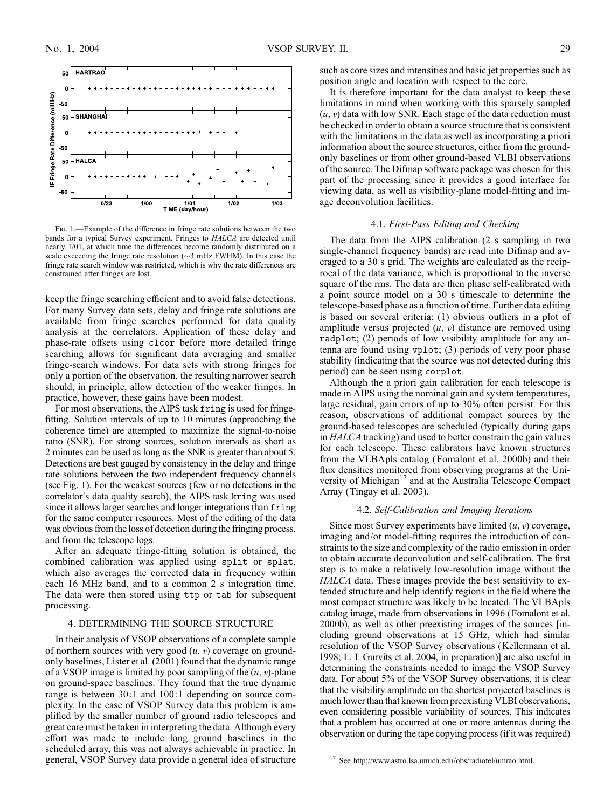

Fig. 1.—Example of the difference in fringe rate solutions between the two bands for a typical Survey experiment. Fringes to HALCA are detected until nearly 1/01, at which time the differences become randomly distributed on a scale exceeding the fringe rate resolution ( $\sim$ 3 mHz FWHM). In this case the fringe rate search window was restricted, which is why the rate differences are constrained after fringes are lost.

keep the fringe searching efficient and to avoid false detections. For many Survey data sets, delay and fringe rate solutions are available from fringe searches performed for data quality analysis at the correlators. Application of these delay and phase-rate offsets using clcor before more detailed fringe searching allows for significant data averaging and smaller fringe-search windows. For data sets with strong fringes for only a portion of the observation, the resulting narrower search should, in principle, allow detection of the weaker fringes. In practice, however, these gains have been modest.

For most observations, the AIPS task fring is used for fringefitting. Solution intervals of up to 10 minutes (approaching the coherence time) are attempted to maximize the signal-to-noise ratio (SNR). For strong sources, solution intervals as short as 2 minutes can be used as long as the SNR is greater than about 5. Detections are best gauged by consistency in the delay and fringe rate solutions between the two independent frequency channels (see Fig. 1). For the weakest sources (few or no detections in the correlator's data quality search), the AIPS task kring was used since it allows larger searches and longer integrations than fring for the same computer resources. Most of the editing of the data was obvious from the loss of detection during the fringing process, and from the telescope logs.

After an adequate fringe-fitting solution is obtained, the combined calibration was applied using split or splat, which also averages the corrected data in frequency within each 16 MHz band, and to a common 2 s integration time. The data were then stored using ttp or tab for subsequent processing.

#### 4. DETERMINING THE SOURCE STRUCTURE

In their analysis of VSOP observations of a complete sample of northern sources with very good  $(u, v)$  coverage on groundonly baselines, Lister et al. (2001) found that the dynamic range of a VSOP image is limited by poor sampling of the  $(u, v)$ -plane on ground-space baselines. They found that the true dynamic range is between 30:1 and 100:1 depending on source complexity. In the case of VSOP Survey data this problem is amplified by the smaller number of ground radio telescopes and great care must be taken in interpreting the data. Although every effort was made to include long ground baselines in the scheduled array, this was not always achievable in practice. In general, VSOP Survey data provide a general idea of structure such as core sizes and intensities and basic jet properties such as position angle and location with respect to the core.

It is therefore important for the data analyst to keep these limitations in mind when working with this sparsely sampled  $(u, v)$  data with low SNR. Each stage of the data reduction must be checked in order to obtain a source structure that is consistent with the limitations in the data as well as incorporating a priori information about the source structures, either from the groundonly baselines or from other ground-based VLBI observations of the source. The Difmap software package was chosen for this part of the processing since it provides a good interface for viewing data, as well as visibility-plane model-fitting and image deconvolution facilities.

#### 4.1. First-Pass Editing and Checking

The data from the AIPS calibration (2 s sampling in two single-channel frequency bands) are read into Difmap and averaged to a 30 s grid. The weights are calculated as the reciprocal of the data variance, which is proportional to the inverse square of the rms. The data are then phase self-calibrated with a point source model on a 30 s timescale to determine the telescope-based phase as a function of time. Further data editing is based on several criteria: (1) obvious outliers in a plot of amplitude versus projected  $(u, v)$  distance are removed using radplot; (2) periods of low visibility amplitude for any antenna are found using vplot; (3) periods of very poor phase stability (indicating that the source was not detected during this period) can be seen using corplot.

Although the a priori gain calibration for each telescope is made in AIPS using the nominal gain and system temperatures, large residual, gain errors of up to 30% often persist. For this reason, observations of additional compact sources by the ground-based telescopes are scheduled (typically during gaps in HALCA tracking) and used to better constrain the gain values for each telescope. These calibrators have known structures from the VLBApls catalog (Fomalont et al. 2000b) and their flux densities monitored from observing programs at the University of Michigan<sup>17</sup> and at the Australia Telescope Compact Array (Tingay et al. 2003).

### 4.2. Self-Calibration and Imaging Iterations

Since most Survey experiments have limited  $(u, v)$  coverage, imaging and/or model-fitting requires the introduction of constraints to the size and complexity of the radio emission in order to obtain accurate deconvolution and self-calibration. The first step is to make a relatively low-resolution image without the HALCA data. These images provide the best sensitivity to extended structure and help identify regions in the field where the most compact structure was likely to be located. The VLBApls catalog image, made from observations in 1996 (Fomalont et al. 2000b), as well as other preexisting images of the sources [including ground observations at 15 GHz, which had similar resolution of the VSOP Survey observations (Kellermann et al. 1998; L. I. Gurvits et al. 2004, in preparation)] are also useful in determining the constraints needed to image the VSOP Survey data. For about 5% of the VSOP Survey observations, it is clear that the visibility amplitude on the shortest projected baselines is much lower than that known from preexisting VLBI observations, even considering possible variability of sources. This indicates that a problem has occurred at one or more antennas during the observation or during the tape copying process (if it was required)

<sup>17</sup> See http://www.astro.lsa.umich.edu/obs/radiotel/umrao.html.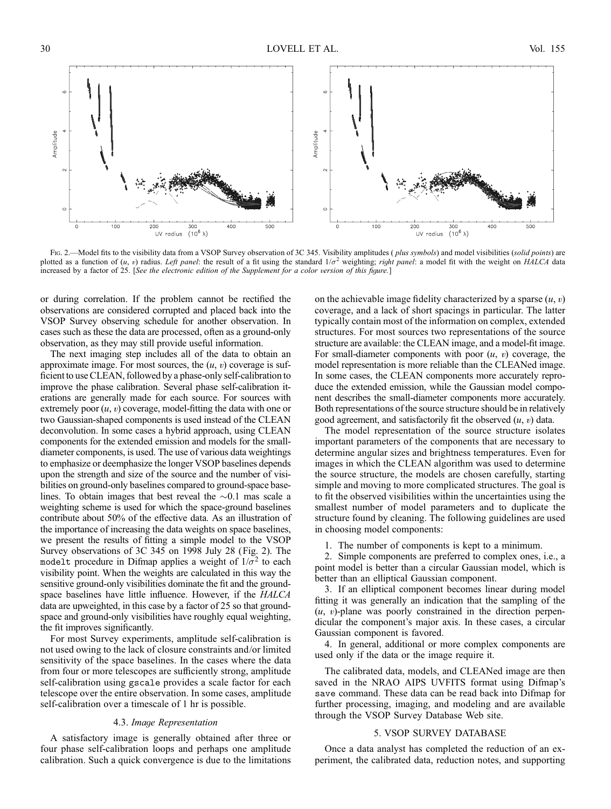

Fig. 2.—Model fits to the visibility data from a VSOP Survey observation of 3C 345. Visibility amplitudes (*plus symbols*) and model visibilities (*solid points*) are plotted as a function of  $(u, v)$  radius. Left panel: the result of a fit using the standard  $1/\sigma^2$  weighting; right panel: a model fit with the weight on HALCA data increased by a factor of 25. [See the electronic edition of the Supplement for a color version of this figure.]

or during correlation. If the problem cannot be rectified the observations are considered corrupted and placed back into the VSOP Survey observing schedule for another observation. In cases such as these the data are processed, often as a ground-only observation, as they may still provide useful information.

The next imaging step includes all of the data to obtain an approximate image. For most sources, the  $(u, v)$  coverage is sufficient to use CLEAN, followed by a phase-only self-calibration to improve the phase calibration. Several phase self-calibration iterations are generally made for each source. For sources with extremely poor  $(u, v)$  coverage, model-fitting the data with one or two Gaussian-shaped components is used instead of the CLEAN deconvolution. In some cases a hybrid approach, using CLEAN components for the extended emission and models for the smalldiameter components, is used. The use of various data weightings to emphasize or deemphasize the longer VSOP baselines depends upon the strength and size of the source and the number of visibilities on ground-only baselines compared to ground-space baselines. To obtain images that best reveal the  $\sim 0.1$  mas scale a weighting scheme is used for which the space-ground baselines contribute about 50% of the effective data. As an illustration of the importance of increasing the data weights on space baselines, we present the results of fitting a simple model to the VSOP Survey observations of 3C 345 on 1998 July 28 (Fig. 2). The modelt procedure in Difmap applies a weight of  $1/\sigma^2$  to each visibility point. When the weights are calculated in this way the sensitive ground-only visibilities dominate the fit and the groundspace baselines have little influence. However, if the *HALCA* data are upweighted, in this case by a factor of 25 so that groundspace and ground-only visibilities have roughly equal weighting, the fit improves significantly.

For most Survey experiments, amplitude self-calibration is not used owing to the lack of closure constraints and/or limited sensitivity of the space baselines. In the cases where the data from four or more telescopes are sufficiently strong, amplitude self-calibration using gscale provides a scale factor for each telescope over the entire observation. In some cases, amplitude self-calibration over a timescale of 1 hr is possible.

#### 4.3. Image Representation

A satisfactory image is generally obtained after three or four phase self-calibration loops and perhaps one amplitude calibration. Such a quick convergence is due to the limitations on the achievable image fidelity characterized by a sparse  $(u, v)$ coverage, and a lack of short spacings in particular. The latter typically contain most of the information on complex, extended structures. For most sources two representations of the source structure are available: the CLEAN image, and a model-fit image. For small-diameter components with poor  $(u, v)$  coverage, the model representation is more reliable than the CLEANed image. In some cases, the CLEAN components more accurately reproduce the extended emission, while the Gaussian model component describes the small-diameter components more accurately. Both representations of the source structure should be in relatively good agreement, and satisfactorily fit the observed  $(u, v)$  data.

The model representation of the source structure isolates important parameters of the components that are necessary to determine angular sizes and brightness temperatures. Even for images in which the CLEAN algorithm was used to determine the source structure, the models are chosen carefully, starting simple and moving to more complicated structures. The goal is to fit the observed visibilities within the uncertainties using the smallest number of model parameters and to duplicate the structure found by cleaning. The following guidelines are used in choosing model components:

1. The number of components is kept to a minimum.

2. Simple components are preferred to complex ones, i.e., a point model is better than a circular Gaussian model, which is better than an elliptical Gaussian component.

3. If an elliptical component becomes linear during model fitting it was generally an indication that the sampling of the  $(u, v)$ -plane was poorly constrained in the direction perpendicular the component's major axis. In these cases, a circular Gaussian component is favored.

4. In general, additional or more complex components are used only if the data or the image require it.

The calibrated data, models, and CLEANed image are then saved in the NRAO AIPS UVFITS format using Difmap's save command. These data can be read back into Difmap for further processing, imaging, and modeling and are available through the VSOP Survey Database Web site.

#### 5. VSOP SURVEY DATABASE

Once a data analyst has completed the reduction of an experiment, the calibrated data, reduction notes, and supporting